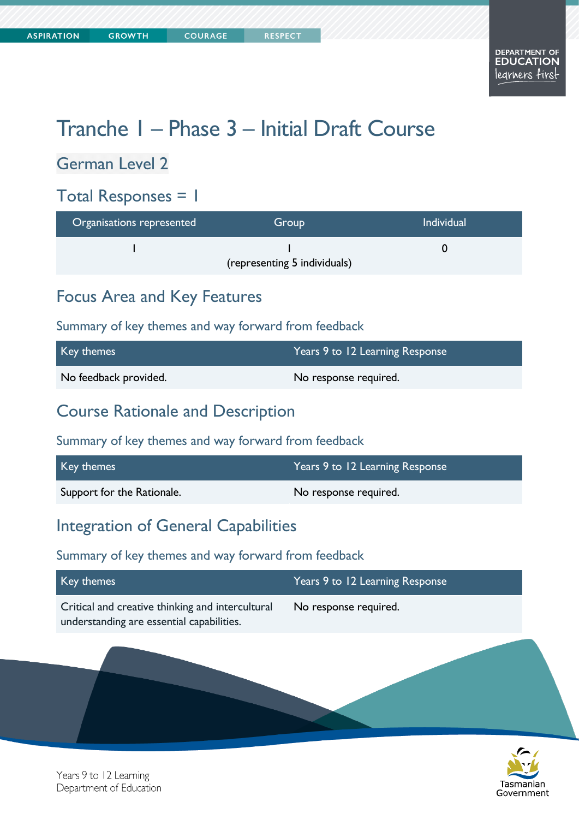# Tranche 1 – Phase 3 – Initial Draft Course

### German Level 2

### Total Responses = 1

| Organisations represented | Group                        | <b>Individual</b> |
|---------------------------|------------------------------|-------------------|
|                           | (representing 5 individuals) |                   |

### Focus Area and Key Features

Summary of key themes and way forward from feedback

| Key themes            | Years 9 to 12 Learning Response |
|-----------------------|---------------------------------|
| No feedback provided. | No response required.           |

### Course Rationale and Description

Summary of key themes and way forward from feedback

| Key themes                 | Years 9 to 12 Learning Response |
|----------------------------|---------------------------------|
| Support for the Rationale. | No response required.           |

#### Integration of General Capabilities

#### Summary of key themes and way forward from feedback

| Key themes                                                                                    | Years 9 to 12 Learning Response |
|-----------------------------------------------------------------------------------------------|---------------------------------|
| Critical and creative thinking and intercultural<br>understanding are essential capabilities. | No response required.           |
|                                                                                               |                                 |



Years 9 to 12 Learning Department of Education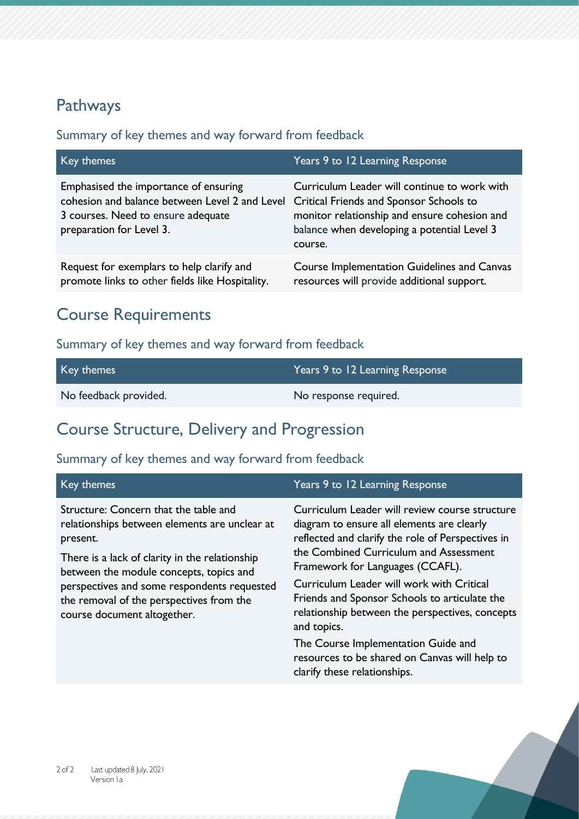### Pathways

#### Summary of key themes and way forward from feedback

| Key themes                                                                                                                                                | Years 9 to 12 Learning Response                                                                                                                                                                   |
|-----------------------------------------------------------------------------------------------------------------------------------------------------------|---------------------------------------------------------------------------------------------------------------------------------------------------------------------------------------------------|
| Emphasised the importance of ensuring<br>cohesion and balance between Level 2 and Level<br>3 courses. Need to ensure adequate<br>preparation for Level 3. | Curriculum Leader will continue to work with<br>Critical Friends and Sponsor Schools to<br>monitor relationship and ensure cohesion and<br>balance when developing a potential Level 3<br>course. |
| Request for exemplars to help clarify and<br>promote links to other fields like Hospitality.                                                              | Course Implementation Guidelines and Canvas<br>resources will provide additional support.                                                                                                         |

### Course Requirements

#### Summary of key themes and way forward from feedback

| Key themes            | Years 9 to 12 Learning Response |
|-----------------------|---------------------------------|
| No feedback provided. | No response required.           |

### Course Structure, Delivery and Progression

| Key themes                                                                                                                                                                                                                                                                                                                | Years 9 to 12 Learning Response                                                                                                                                                                                                                                                                                                                                                                 |
|---------------------------------------------------------------------------------------------------------------------------------------------------------------------------------------------------------------------------------------------------------------------------------------------------------------------------|-------------------------------------------------------------------------------------------------------------------------------------------------------------------------------------------------------------------------------------------------------------------------------------------------------------------------------------------------------------------------------------------------|
| Structure: Concern that the table and<br>relationships between elements are unclear at<br>present.<br>There is a lack of clarity in the relationship<br>between the module concepts, topics and<br>perspectives and some respondents requested<br>the removal of the perspectives from the<br>course document altogether. | Curriculum Leader will review course structure<br>diagram to ensure all elements are clearly<br>reflected and clarify the role of Perspectives in<br>the Combined Curriculum and Assessment<br>Framework for Languages (CCAFL).<br>Curriculum Leader will work with Critical<br>Friends and Sponsor Schools to articulate the<br>relationship between the perspectives, concepts<br>and topics. |
|                                                                                                                                                                                                                                                                                                                           | The Course Implementation Guide and<br>resources to be shared on Canvas will help to<br>clarify these relationships.                                                                                                                                                                                                                                                                            |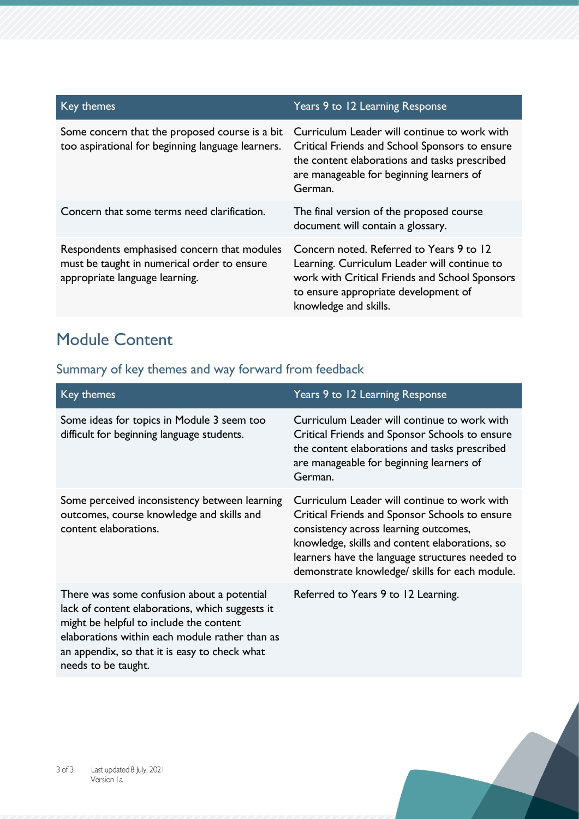| Key themes                                                                                                                   | Years 9 to 12 Learning Response                                                                                                                                                                             |
|------------------------------------------------------------------------------------------------------------------------------|-------------------------------------------------------------------------------------------------------------------------------------------------------------------------------------------------------------|
| Some concern that the proposed course is a bit<br>too aspirational for beginning language learners.                          | Curriculum Leader will continue to work with<br>Critical Friends and School Sponsors to ensure<br>the content elaborations and tasks prescribed<br>are manageable for beginning learners of<br>German.      |
| Concern that some terms need clarification.                                                                                  | The final version of the proposed course<br>document will contain a glossary.                                                                                                                               |
| Respondents emphasised concern that modules<br>must be taught in numerical order to ensure<br>appropriate language learning. | Concern noted. Referred to Years 9 to 12<br>Learning. Curriculum Leader will continue to<br>work with Critical Friends and School Sponsors<br>to ensure appropriate development of<br>knowledge and skills. |

## Module Content

| Key themes                                                                                                                                                                                                                                                         | Years 9 to 12 Learning Response                                                                                                                                                                                                                                                                |
|--------------------------------------------------------------------------------------------------------------------------------------------------------------------------------------------------------------------------------------------------------------------|------------------------------------------------------------------------------------------------------------------------------------------------------------------------------------------------------------------------------------------------------------------------------------------------|
| Some ideas for topics in Module 3 seem too<br>difficult for beginning language students.                                                                                                                                                                           | Curriculum Leader will continue to work with<br>Critical Friends and Sponsor Schools to ensure<br>the content elaborations and tasks prescribed<br>are manageable for beginning learners of<br>German.                                                                                         |
| Some perceived inconsistency between learning<br>outcomes, course knowledge and skills and<br>content elaborations.                                                                                                                                                | Curriculum Leader will continue to work with<br>Critical Friends and Sponsor Schools to ensure<br>consistency across learning outcomes,<br>knowledge, skills and content elaborations, so<br>learners have the language structures needed to<br>demonstrate knowledge/ skills for each module. |
| There was some confusion about a potential<br>lack of content elaborations, which suggests it<br>might be helpful to include the content<br>elaborations within each module rather than as<br>an appendix, so that it is easy to check what<br>needs to be taught. | Referred to Years 9 to 12 Learning.                                                                                                                                                                                                                                                            |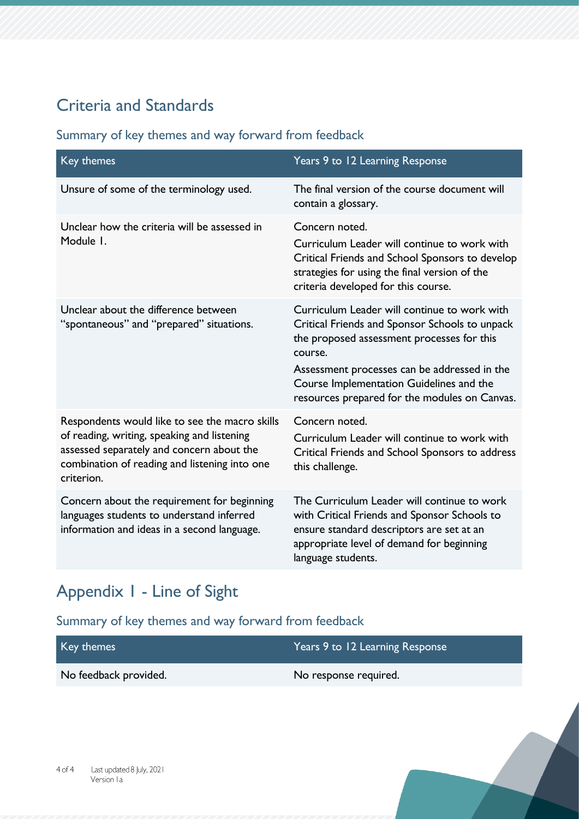## Criteria and Standards

#### Summary of key themes and way forward from feedback

| Key themes                                                                                                                                                                                                | Years 9 to 12 Learning Response                                                                                                                                                                                                                                                                      |
|-----------------------------------------------------------------------------------------------------------------------------------------------------------------------------------------------------------|------------------------------------------------------------------------------------------------------------------------------------------------------------------------------------------------------------------------------------------------------------------------------------------------------|
| Unsure of some of the terminology used.                                                                                                                                                                   | The final version of the course document will<br>contain a glossary.                                                                                                                                                                                                                                 |
| Unclear how the criteria will be assessed in<br>Module I.                                                                                                                                                 | Concern noted.<br>Curriculum Leader will continue to work with<br>Critical Friends and School Sponsors to develop<br>strategies for using the final version of the<br>criteria developed for this course.                                                                                            |
| Unclear about the difference between<br>"spontaneous" and "prepared" situations.                                                                                                                          | Curriculum Leader will continue to work with<br>Critical Friends and Sponsor Schools to unpack<br>the proposed assessment processes for this<br>course.<br>Assessment processes can be addressed in the<br>Course Implementation Guidelines and the<br>resources prepared for the modules on Canvas. |
| Respondents would like to see the macro skills<br>of reading, writing, speaking and listening<br>assessed separately and concern about the<br>combination of reading and listening into one<br>criterion. | Concern noted.<br>Curriculum Leader will continue to work with<br>Critical Friends and School Sponsors to address<br>this challenge.                                                                                                                                                                 |
| Concern about the requirement for beginning<br>languages students to understand inferred<br>information and ideas in a second language.                                                                   | The Curriculum Leader will continue to work<br>with Critical Friends and Sponsor Schools to<br>ensure standard descriptors are set at an<br>appropriate level of demand for beginning<br>language students.                                                                                          |

## Appendix 1 - Line of Sight

| Key themes            | Years 9 to 12 Learning Response |
|-----------------------|---------------------------------|
| No feedback provided. | No response required.           |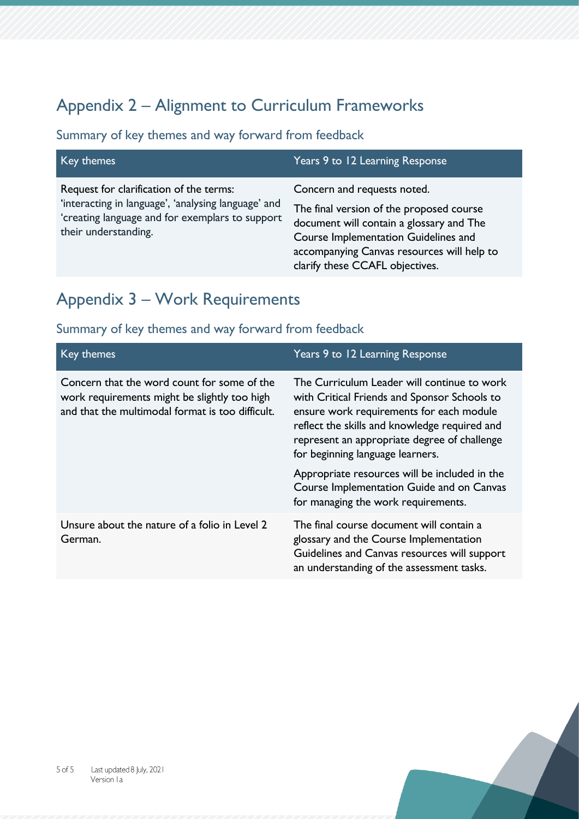## Appendix 2 – Alignment to Curriculum Frameworks

#### Summary of key themes and way forward from feedback

| Key themes                                                                                                                                                                | Years 9 to 12 Learning Response                                                                                                                                                                                                              |
|---------------------------------------------------------------------------------------------------------------------------------------------------------------------------|----------------------------------------------------------------------------------------------------------------------------------------------------------------------------------------------------------------------------------------------|
| Request for clarification of the terms:<br>'interacting in language', 'analysing language' and<br>'creating language and for exemplars to support<br>their understanding. | Concern and requests noted.<br>The final version of the proposed course<br>document will contain a glossary and The<br>Course Implementation Guidelines and<br>accompanying Canvas resources will help to<br>clarify these CCAFL objectives. |

## Appendix 3 – Work Requirements

| Key themes                                                                                                                                      | Years 9 to 12 Learning Response                                                                                                                                                                                                                                              |
|-------------------------------------------------------------------------------------------------------------------------------------------------|------------------------------------------------------------------------------------------------------------------------------------------------------------------------------------------------------------------------------------------------------------------------------|
| Concern that the word count for some of the<br>work requirements might be slightly too high<br>and that the multimodal format is too difficult. | The Curriculum Leader will continue to work<br>with Critical Friends and Sponsor Schools to<br>ensure work requirements for each module<br>reflect the skills and knowledge required and<br>represent an appropriate degree of challenge<br>for beginning language learners. |
|                                                                                                                                                 | Appropriate resources will be included in the<br>Course Implementation Guide and on Canvas<br>for managing the work requirements.                                                                                                                                            |
| Unsure about the nature of a folio in Level 2<br>German.                                                                                        | The final course document will contain a<br>glossary and the Course Implementation<br>Guidelines and Canvas resources will support<br>an understanding of the assessment tasks.                                                                                              |